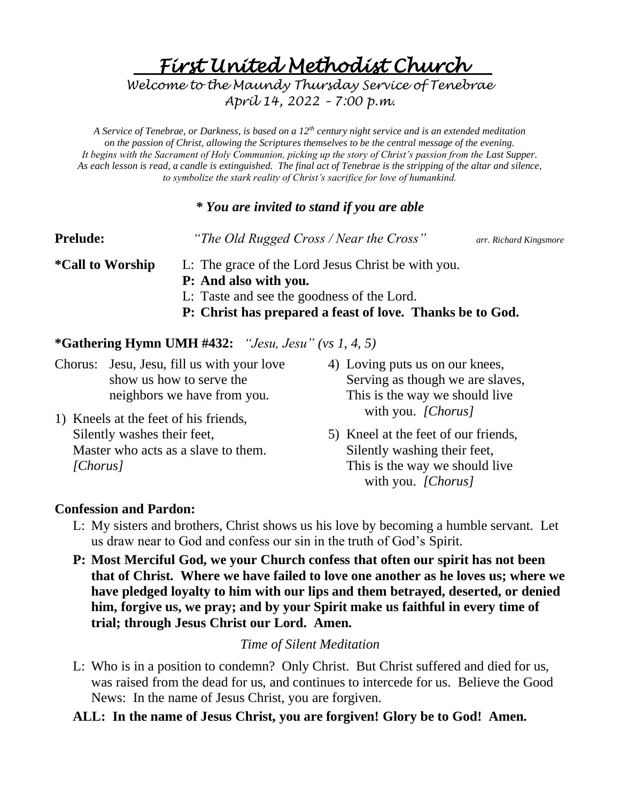# *. First United Methodist Church*

*Welcome to the Maundy Thursday Service of Tenebrae April 14, 2022 – 7:00 p.m.*

*A Service of Tenebrae, or Darkness, is based on a 12th century night service and is an extended meditation on the passion of Christ, allowing the Scriptures themselves to be the central message of the evening. It begins with the Sacrament of Holy Communion, picking up the story of Christ's passion from the Last Supper. As each lesson is read, a candle is extinguished. The final act of Tenebrae is the stripping of the altar and silence, to symbolize the stark reality of Christ's sacrifice for love of humankind.*

## *\* You are invited to stand if you are able*

| <b>Prelude:</b>  | "The Old Rugged Cross / Near the Cross"                                                                                                                                                | arr. Richard Kingsmore |
|------------------|----------------------------------------------------------------------------------------------------------------------------------------------------------------------------------------|------------------------|
| *Call to Worship | L: The grace of the Lord Jesus Christ be with you.<br>P: And also with you.<br>L: Taste and see the goodness of the Lord.<br>P: Christ has prepared a feast of love. Thanks be to God. |                        |

## **\*Gathering Hymn UMH #432:** *"Jesu, Jesu" (vs 1, 4, 5)*

Chorus: Jesu, Jesu, fill us with your love show us how to serve the neighbors we have from you.

- 1) Kneels at the feet of his friends, Silently washes their feet, Master who acts as a slave to them. *[Chorus]*
- 4) Loving puts us on our knees, Serving as though we are slaves, This is the way we should live with you. *[Chorus]*
- 5) Kneel at the feet of our friends, Silently washing their feet, This is the way we should live with you. *[Chorus]*

## **Confession and Pardon:**

- L: My sisters and brothers, Christ shows us his love by becoming a humble servant. Let us draw near to God and confess our sin in the truth of God's Spirit.
- **P: Most Merciful God, we your Church confess that often our spirit has not been that of Christ. Where we have failed to love one another as he loves us; where we have pledged loyalty to him with our lips and them betrayed, deserted, or denied him, forgive us, we pray; and by your Spirit make us faithful in every time of trial; through Jesus Christ our Lord. Amen.**

## *Time of Silent Meditation*

- L: Who is in a position to condemn? Only Christ. But Christ suffered and died for us, was raised from the dead for us, and continues to intercede for us. Believe the Good News: In the name of Jesus Christ, you are forgiven.
- **ALL: In the name of Jesus Christ, you are forgiven! Glory be to God! Amen.**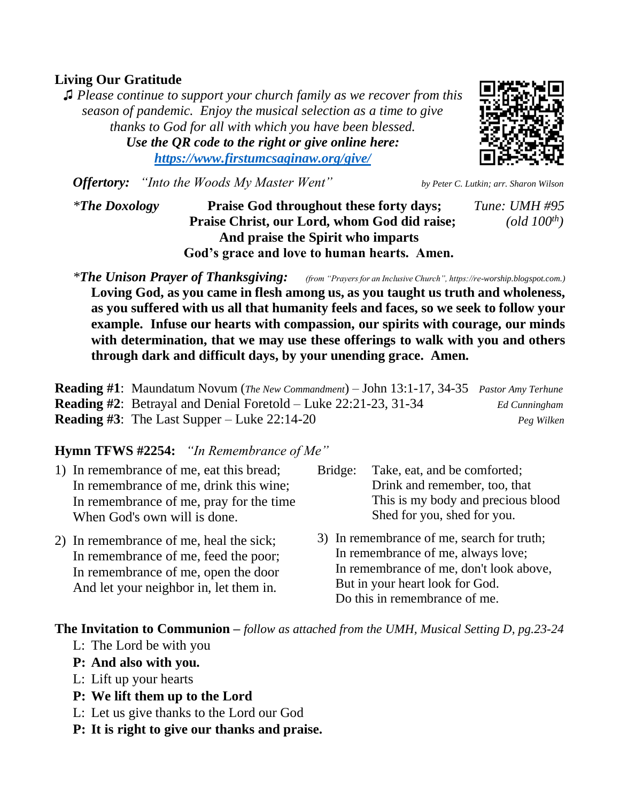## **Living Our Gratitude**

♫ *Please continue to support your church family as we recover from this season of pandemic. Enjoy the musical selection as a time to give thanks to God for all with which you have been blessed. Use the QR code to the right or give online here: <https://www.firstumcsaginaw.org/give/>*

*Offertory: "Into the Woods My Master Went" by Peter C. Lutkin; arr. Sharon Wilson*

*\*The Doxology* **Praise God throughout these forty days;** *Tune: UMH #95* **Praise Christ, our Lord, whom God did raise;** *(old 100th)* **And praise the Spirit who imparts God's grace and love to human hearts. Amen.**

*\*The Unison Prayer of Thanksgiving: (from "Prayers for an Inclusive Church", https://re-worship.blogspot.com.)* **Loving God, as you came in flesh among us, as you taught us truth and wholeness, as you suffered with us all that humanity feels and faces, so we seek to follow your example. Infuse our hearts with compassion, our spirits with courage, our minds with determination, that we may use these offerings to walk with you and others through dark and difficult days, by your unending grace. Amen.**

**Reading #1**: Maundatum Novum (*The New Commandment*) – John 13:1-17, 34-35 *Pastor Amy Terhune* **Reading #2**: Betrayal and Denial Foretold – Luke 22:21-23, 31-34 *Ed Cunningham* **Reading #3**: The Last Supper – Luke 22:14-20 *Peg Wilken*

## **Hymn TFWS #2254:** *"In Remembrance of Me"*

- 1) In remembrance of me, eat this bread; In remembrance of me, drink this wine; In remembrance of me, pray for the time When God's own will is done.
- 2) In remembrance of me, heal the sick; In remembrance of me, feed the poor; In remembrance of me, open the door And let your neighbor in, let them in.
- Bridge: Take, eat, and be comforted; Drink and remember, too, that This is my body and precious blood Shed for you, shed for you.
- 3) In remembrance of me, search for truth; In remembrance of me, always love; In remembrance of me, don't look above, But in your heart look for God. Do this in remembrance of me.

**The Invitation to Communion –** *follow as attached from the UMH, Musical Setting D, pg.23-24*

- L: The Lord be with you
- **P: And also with you.**
- L: Lift up your hearts
- **P: We lift them up to the Lord**
- L: Let us give thanks to the Lord our God
- **P: It is right to give our thanks and praise.**

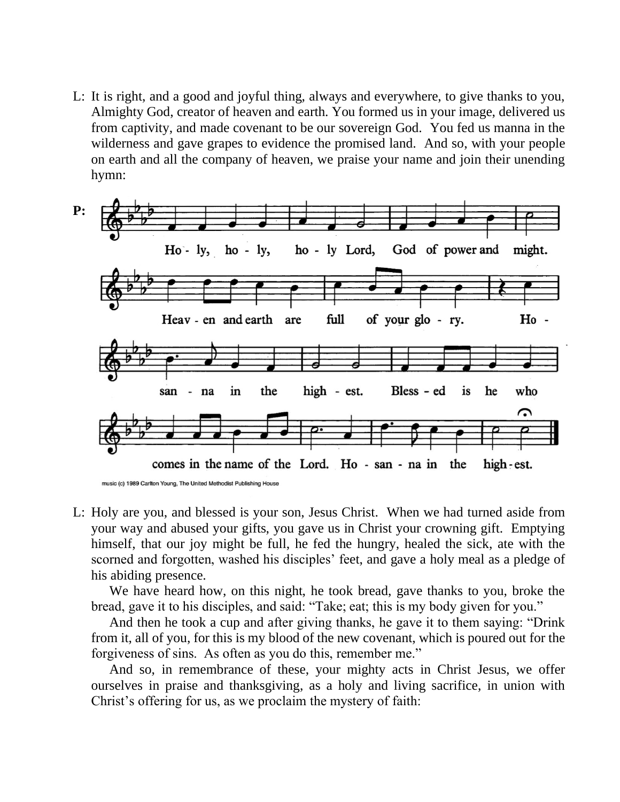L: It is right, and a good and joyful thing, always and everywhere, to give thanks to you, Almighty God, creator of heaven and earth. You formed us in your image, delivered us from captivity, and made covenant to be our sovereign God. You fed us manna in the wilderness and gave grapes to evidence the promised land. And so, with your people on earth and all the company of heaven, we praise your name and join their unending hymn:



music (c) 1989 Carlton Young, The United Methodist Publishing House

L: Holy are you, and blessed is your son, Jesus Christ. When we had turned aside from your way and abused your gifts, you gave us in Christ your crowning gift. Emptying himself, that our joy might be full, he fed the hungry, healed the sick, ate with the scorned and forgotten, washed his disciples' feet, and gave a holy meal as a pledge of his abiding presence.

We have heard how, on this night, he took bread, gave thanks to you, broke the bread, gave it to his disciples, and said: "Take; eat; this is my body given for you."

And then he took a cup and after giving thanks, he gave it to them saying: "Drink from it, all of you, for this is my blood of the new covenant, which is poured out for the forgiveness of sins. As often as you do this, remember me."

And so, in remembrance of these, your mighty acts in Christ Jesus, we offer ourselves in praise and thanksgiving, as a holy and living sacrifice, in union with Christ's offering for us, as we proclaim the mystery of faith: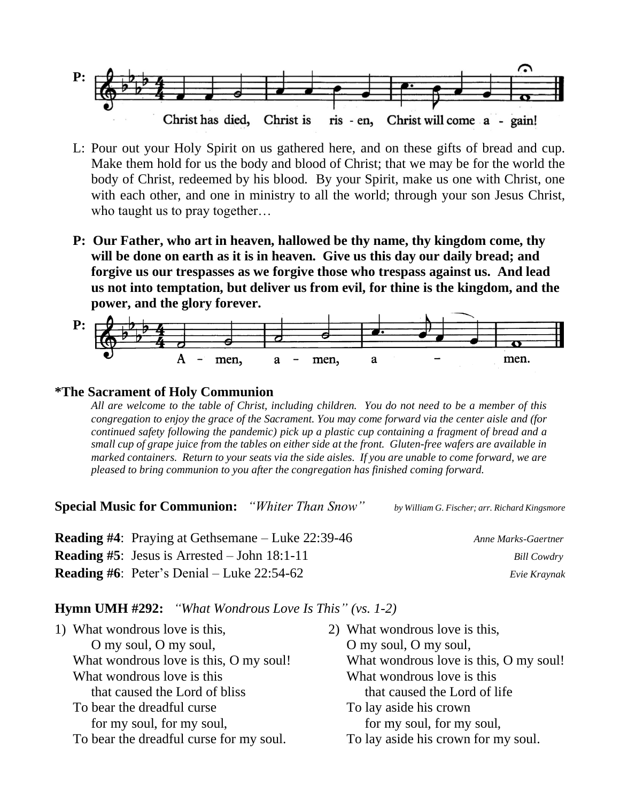

- L: Pour out your Holy Spirit on us gathered here, and on these gifts of bread and cup. Make them hold for us the body and blood of Christ; that we may be for the world the body of Christ, redeemed by his blood. By your Spirit, make us one with Christ, one with each other, and one in ministry to all the world; through your son Jesus Christ, who taught us to pray together…
- **P: Our Father, who art in heaven, hallowed be thy name, thy kingdom come, thy will be done on earth as it is in heaven. Give us this day our daily bread; and forgive us our trespasses as we forgive those who trespass against us. And lead us not into temptation, but deliver us from evil, for thine is the kingdom, and the power, and the glory forever.**



#### **\*The Sacrament of Holy Communion**

*All are welcome to the table of Christ, including children. You do not need to be a member of this congregation to enjoy the grace of the Sacrament. You may come forward via the center aisle and (for continued safety following the pandemic) pick up a plastic cup containing a fragment of bread and a small cup of grape juice from the tables on either side at the front. Gluten-free wafers are available in marked containers. Return to your seats via the side aisles. If you are unable to come forward, we are pleased to bring communion to you after the congregation has finished coming forward.* 

| <b>Special Music for Communion:</b><br>"Whiter Than Snow"  | by William G. Fischer; arr. Richard Kingsmore |
|------------------------------------------------------------|-----------------------------------------------|
| <b>Reading #4:</b> Praying at Gethsemane $-$ Luke 22:39-46 | Anne Marks-Gaertner                           |
| <b>Reading #5:</b> Jesus is Arrested $-$ John 18:1-11      | <b>Bill Cowdry</b>                            |
| <b>Reading #6:</b> Peter's Denial – Luke $22:54-62$        | Evie Kraynak                                  |

### **Hymn UMH #292:** *"What Wondrous Love Is This" (vs. 1-2)*

| 1) What wondrous love is this,          | 2) What wondrous love is this,         |
|-----------------------------------------|----------------------------------------|
| O my soul, O my soul,                   | O my soul, O my soul,                  |
| What wondrous love is this, O my soul!  | What wondrous love is this, O my soul! |
| What wondrous love is this              | What wondrous love is this             |
| that caused the Lord of bliss           | that caused the Lord of life           |
| To bear the dreadful curse              | To lay aside his crown                 |
| for my soul, for my soul,               | for my soul, for my soul,              |
| To bear the dreadful curse for my soul. | To lay aside his crown for my soul.    |
|                                         |                                        |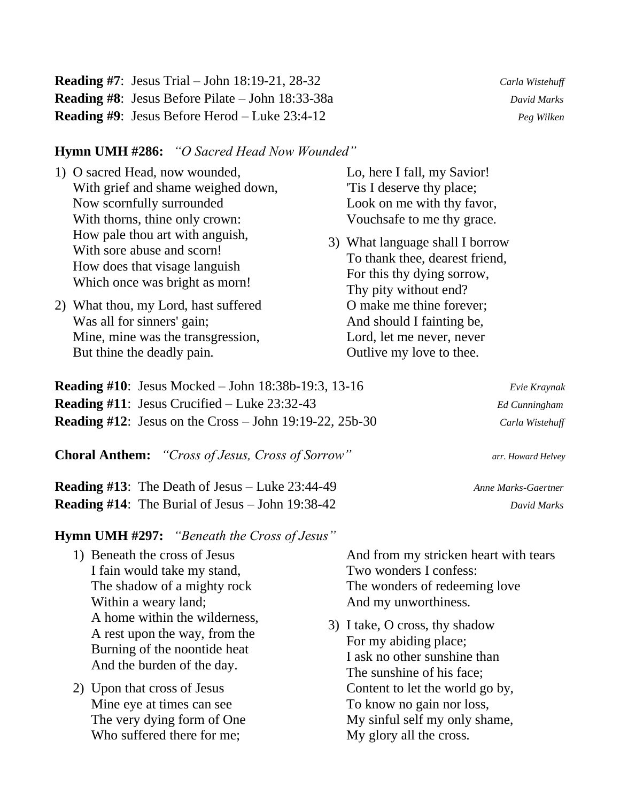| <b>Reading #7:</b> Jesus Trial – John 18:19-21, 28-32     | Carla Wistehuff |
|-----------------------------------------------------------|-----------------|
| <b>Reading #8:</b> Jesus Before Pilate $-$ John 18:33-38a | David Marks     |
| <b>Reading #9:</b> Jesus Before Herod $-$ Luke 23:4-12    | Peg Wilken      |

## **Hymn UMH #286:** *"O Sacred Head Now Wounded"*

| 1) O sacred Head, now wounded,<br>With grief and shame weighed down,<br>Now scornfully surrounded<br>With thorns, thine only crown:<br>How pale thou art with anguish,<br>With sore abuse and scorn!<br>How does that visage languish<br>Which once was bright as morn! |                                                                                                                                       |  | Lo, here I fall, my Savior!<br>Tis I deserve thy place;<br>Look on me with thy favor,<br>Vouchsafe to me thy grace.<br>3) What language shall I borrow<br>To thank thee, dearest friend,<br>For this thy dying sorrow, |                     |  |
|-------------------------------------------------------------------------------------------------------------------------------------------------------------------------------------------------------------------------------------------------------------------------|---------------------------------------------------------------------------------------------------------------------------------------|--|------------------------------------------------------------------------------------------------------------------------------------------------------------------------------------------------------------------------|---------------------|--|
|                                                                                                                                                                                                                                                                         | 2) What thou, my Lord, hast suffered<br>Was all for sinners' gain;<br>Mine, mine was the transgression,<br>But thine the deadly pain. |  | Thy pity without end?<br>O make me thine forever;<br>And should I fainting be,<br>Lord, let me never, never<br>Outlive my love to thee.                                                                                |                     |  |
|                                                                                                                                                                                                                                                                         | <b>Reading #10:</b> Jesus Mocked – John $18:38b-19:3$ , $13-16$                                                                       |  |                                                                                                                                                                                                                        | Evie Kraynak        |  |
| <b>Reading #11:</b> Jesus Crucified – Luke $23:32-43$                                                                                                                                                                                                                   |                                                                                                                                       |  |                                                                                                                                                                                                                        | Ed Cunningham       |  |
| <b>Reading #12:</b> Jesus on the Cross $-$ John 19:19-22, 25b-30                                                                                                                                                                                                        |                                                                                                                                       |  |                                                                                                                                                                                                                        | Carla Wistehuff     |  |
|                                                                                                                                                                                                                                                                         | <b>Choral Anthem:</b> "Cross of Jesus, Cross of Sorrow"                                                                               |  |                                                                                                                                                                                                                        | arr. Howard Helvey  |  |
|                                                                                                                                                                                                                                                                         | <b>Reading #13:</b> The Death of Jesus $-$ Luke 23:44-49                                                                              |  |                                                                                                                                                                                                                        | Anne Marks-Gaertner |  |
| <b>Reading #14:</b> The Burial of Jesus $-$ John 19:38-42                                                                                                                                                                                                               |                                                                                                                                       |  | David Marks                                                                                                                                                                                                            |                     |  |
|                                                                                                                                                                                                                                                                         |                                                                                                                                       |  |                                                                                                                                                                                                                        |                     |  |

**Hymn UMH #297:** *"Beneath the Cross of Jesus"*

- 1) Beneath the cross of Jesus I fain would take my stand, The shadow of a mighty rock Within a weary land; A home within the wilderness, A rest upon the way, from the Burning of the noontide heat And the burden of the day.
- 2) Upon that cross of Jesus Mine eye at times can see The very dying form of One Who suffered there for me;

And from my stricken heart with tears Two wonders I confess: The wonders of redeeming love And my unworthiness.

3) I take, O cross, thy shadow For my abiding place; I ask no other sunshine than The sunshine of his face; Content to let the world go by, To know no gain nor loss, My sinful self my only shame, My glory all the cross.